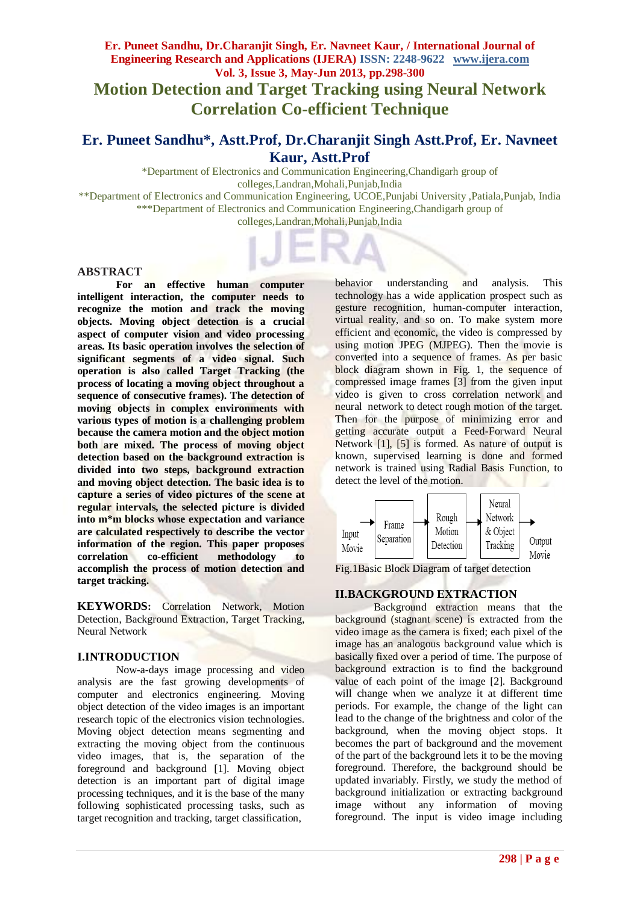# **Er. Puneet Sandhu, Dr.Charanjit Singh, Er. Navneet Kaur, / International Journal of Engineering Research and Applications (IJERA) ISSN: 2248-9622 www.ijera.com Vol. 3, Issue 3, May-Jun 2013, pp.298-300**

# **Motion Detection and Target Tracking using Neural Network Correlation Co-efficient Technique**

# **Er. Puneet Sandhu\*, Astt.Prof, Dr.Charanjit Singh Astt.Prof, Er. Navneet Kaur, Astt.Prof**

\*Department of Electronics and Communication Engineering,Chandigarh group of colleges,Landran,Mohali,Punjab,India \*\*Department of Electronics and Communication Engineering, UCOE,Punjabi University ,Patiala,Punjab, India

\*\*\*Department of Electronics and Communication Engineering,Chandigarh group of colleges,Landran,Mohali,Punjab,India

#### **ABSTRACT**

**For an effective human computer intelligent interaction, the computer needs to recognize the motion and track the moving objects. Moving object detection is a crucial aspect of computer vision and video processing areas. Its basic operation involves the selection of significant segments of a video signal. Such operation is also called Target Tracking (the process of locating a moving object throughout a sequence of consecutive frames). The detection of moving objects in complex environments with various types of motion is a challenging problem because the camera motion and the object motion both are mixed. The process of moving object detection based on the background extraction is divided into two steps, background extraction and moving object detection. The basic idea is to capture a series of video pictures of the scene at regular intervals, the selected picture is divided into m\*m blocks whose expectation and variance are calculated respectively to describe the vector information of the region. This paper proposes correlation co-efficient methodology to accomplish the process of motion detection and target tracking.**

**KEYWORDS:** Correlation Network, Motion Detection, Background Extraction, Target Tracking, Neural Network

#### **I.INTRODUCTION**

Now-a-days image processing and video analysis are the fast growing developments of computer and electronics engineering. Moving object detection of the video images is an important research topic of the electronics vision technologies. Moving object detection means segmenting and extracting the moving object from the continuous video images, that is, the separation of the foreground and background [1]. Moving object detection is an important part of digital image processing techniques, and it is the base of the many following sophisticated processing tasks, such as target recognition and tracking, target classification,

behavior understanding and analysis. This technology has a wide application prospect such as gesture recognition, human-computer interaction, virtual reality, and so on. To make system more efficient and economic, the video is compressed by using motion JPEG (MJPEG). Then the movie is converted into a sequence of frames. As per basic block diagram shown in Fig. 1, the sequence of compressed image frames [3] from the given input video is given to cross correlation network and neural network to detect rough motion of the target. Then for the purpose of minimizing error and getting accurate output a Feed-Forward Neural Network [1], [5] is formed. As nature of output is known, supervised learning is done and formed network is trained using Radial Basis Function, to detect the level of the motion.



Fig.1Basic Block Diagram of target detection

## **II.BACKGROUND EXTRACTION**

Background extraction means that the background [\(stagnant](http://dictionary.reference.com/browse/stagnant) scene) is extracted from the video image as the camera is fixed; each pixel of the image has an [analogous](http://dictionary.reference.com/browse/analogous) background value which is basically fixed over a period of time. The purpose of background extraction is to find the background value of each point of the image [2]. Background will change when we analyze it at different time periods. For example, the change of the light can lead to the change of the brightness and color of the background, when the moving object stops. It becomes the part of background and the movement of the part of the background lets it to be the moving foreground. Therefore, the background should be updated invariably. Firstly, we study the method of background initialization or extracting background image without any information of moving foreground. The input is video image including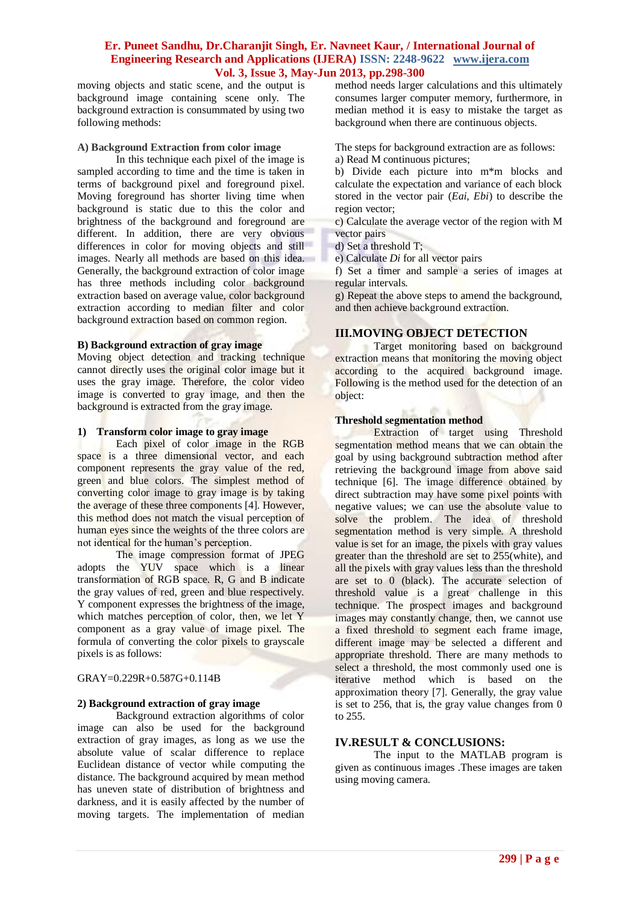### **Er. Puneet Sandhu, Dr.Charanjit Singh, Er. Navneet Kaur, / International Journal of Engineering Research and Applications (IJERA) ISSN: 2248-9622 www.ijera.com Vol. 3, Issue 3, May-Jun 2013, pp.298-300**

moving objects and static scene, and the output is background image containing scene only. The background extraction is consummated by using two following methods:

#### **A) Background Extraction from color image**

In this technique each pixel of the image is sampled according to time and the time is taken in terms of background pixel and foreground pixel. Moving foreground has shorter living time when background is static due to this the color and brightness of the background and foreground are different. In addition, there are very obvious differences in color for moving objects and still images. Nearly all methods are based on this idea. Generally, the background extraction of color image has three methods including color background extraction based on average value, color background extraction according to median filter and color background extraction based on common region.

#### **B) Background extraction of gray image**

Moving object detection and tracking technique cannot directly uses the original color image but it uses the gray image. Therefore, the color video image is converted to gray image, and then the background is extracted from the gray image.

#### **1) Transform color image to gray image**

Each pixel of color image in the RGB space is a three dimensional vector, and each component represents the gray value of the red, green and blue colors. The simplest method of converting color image to gray image is by taking the average of these three components [4]. However, this method does not match the visual perception of human eyes since the weights of the three colors are not identical for the human's perception.

The image compression format of JPEG adopts the YUV space which is a linear transformation of RGB space. R, G and B indicate the gray values of red, green and blue respectively. Y component expresses the brightness of the image, which matches perception of color, then, we let Y component as a gray value of image pixel. The formula of converting the color pixels to grayscale pixels is as follows:

#### GRAY=0.229R+0.587G+0.114B

#### **2) Background extraction of gray image**

Background extraction algorithms of color image can also be used for the background extraction of gray images, as long as we use the absolute value of scalar difference to replace Euclidean distance of vector while computing the distance. The background acquired by mean method has uneven state of distribution of brightness and darkness, and it is easily affected by the number of moving targets. The implementation of median method needs larger calculations and this ultimately consumes larger computer memory, furthermore, in median method it is easy to mistake the target as background when there are continuous objects.

The steps for background extraction are as follows:

a) Read M continuous pictures;

b) Divide each picture into m\*m blocks and calculate the expectation and variance of each block stored in the vector pair (*Eai, Ebi*) to describe the region vector;

c) Calculate the average vector of the region with M vector pairs

d) Set a threshold T;

e) Calculate *Di* for all vector pairs

f) Set a timer and sample a series of images at regular intervals.

g) Repeat the above steps to amend the background, and then achieve background extraction.

#### **III.MOVING OBJECT DETECTION**

Target monitoring based on background extraction means that monitoring the moving object according to the acquired background image. Following is the method used for the detection of an object:

#### **Threshold segmentation method**

Extraction of target using Threshold segmentation method means that we can obtain the goal by using background subtraction method after retrieving the background image from above said technique [6]. The image difference obtained by direct subtraction may have some pixel points with negative values; we can use the absolute value to solve the problem. The idea of threshold segmentation method is very simple. A threshold value is set for an image, the pixels with gray values greater than the threshold are set to 255(white), and all the pixels with gray values less than the threshold are set to 0 (black). The accurate selection of threshold value is a great challenge in this technique. The prospect images and background images may constantly change, then, we cannot use a fixed threshold to segment each frame image, different image may be selected a different and appropriate threshold. There are many methods to select a threshold, the most commonly used one is iterative method which is based on the approximation theory [7]. Generally, the gray value is set to 256, that is, the gray value changes from 0 to 255.

#### **IV.RESULT & CONCLUSIONS:**

The input to the MATLAB program is given as continuous images .These images are taken using moving camera.